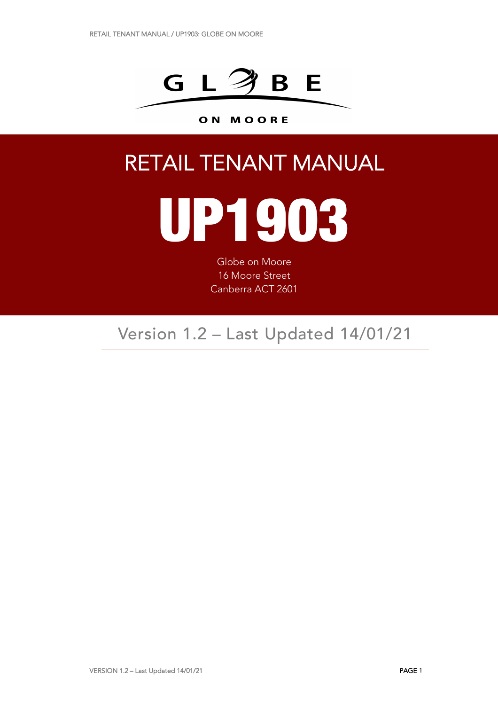

#### ON MOORE

## RETAIL TENANT MANUAL

# UP1903

Globe on Moore 16 Moore Street Canberra ACT 2601

### Version 1.2 – Last Updated 14/01/21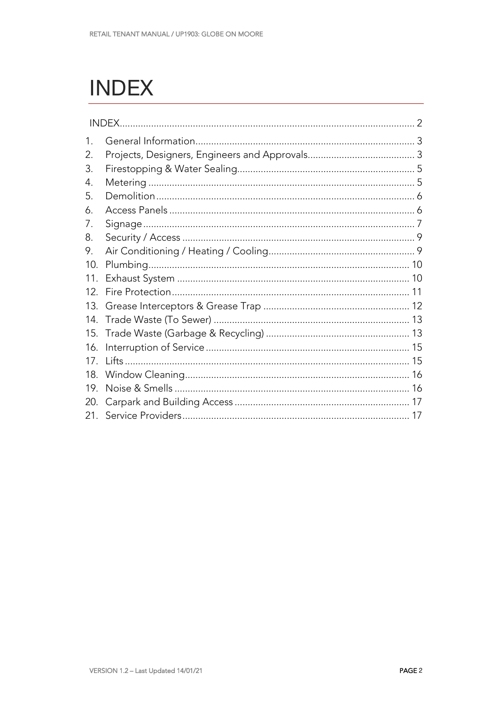## **INDEX**

|                 | INDEX. |  |
|-----------------|--------|--|
| 1.              |        |  |
| 2.              |        |  |
| 3.              |        |  |
| 4.              |        |  |
| 5.              |        |  |
| 6.              |        |  |
| 7.              |        |  |
| 8.              |        |  |
| 9.              |        |  |
| 10.             |        |  |
| 11.             |        |  |
| 12 <sub>1</sub> |        |  |
| 13.             |        |  |
| 14.             |        |  |
| 15.             |        |  |
| 16.             |        |  |
| 17              |        |  |
| 18.             |        |  |
| 19.             |        |  |
| 20.             |        |  |
| 21.             |        |  |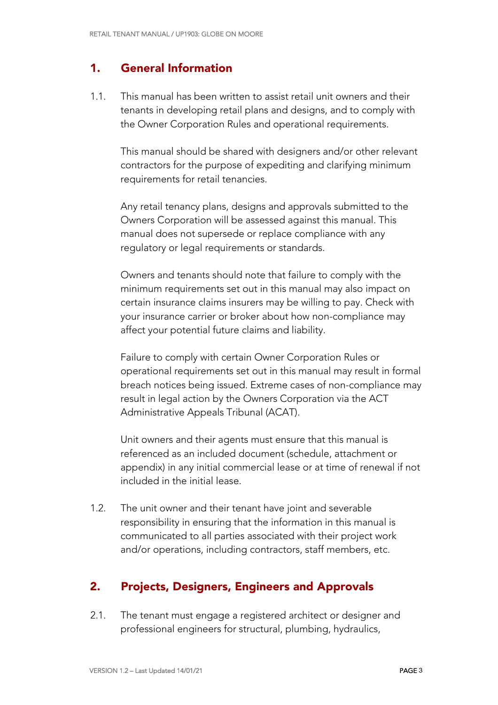#### 1. General Information

1.1. This manual has been written to assist retail unit owners and their tenants in developing retail plans and designs, and to comply with the Owner Corporation Rules and operational requirements.

This manual should be shared with designers and/or other relevant contractors for the purpose of expediting and clarifying minimum requirements for retail tenancies.

Any retail tenancy plans, designs and approvals submitted to the Owners Corporation will be assessed against this manual. This manual does not supersede or replace compliance with any regulatory or legal requirements or standards.

Owners and tenants should note that failure to comply with the minimum requirements set out in this manual may also impact on certain insurance claims insurers may be willing to pay. Check with your insurance carrier or broker about how non-compliance may affect your potential future claims and liability.

Failure to comply with certain Owner Corporation Rules or operational requirements set out in this manual may result in formal breach notices being issued. Extreme cases of non-compliance may result in legal action by the Owners Corporation via the ACT Administrative Appeals Tribunal (ACAT).

Unit owners and their agents must ensure that this manual is referenced as an included document (schedule, attachment or appendix) in any initial commercial lease or at time of renewal if not included in the initial lease.

1.2. The unit owner and their tenant have joint and severable responsibility in ensuring that the information in this manual is communicated to all parties associated with their project work and/or operations, including contractors, staff members, etc.

#### 2. Projects, Designers, Engineers and Approvals

2.1. The tenant must engage a registered architect or designer and professional engineers for structural, plumbing, hydraulics,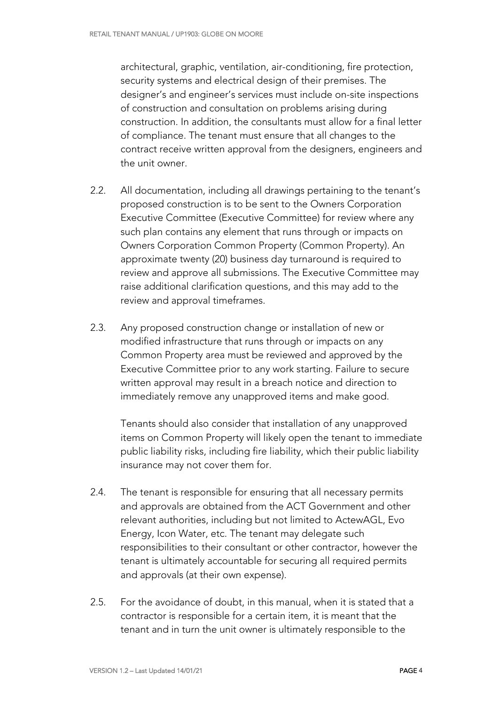architectural, graphic, ventilation, air-conditioning, fire protection, security systems and electrical design of their premises. The designer's and engineer's services must include on-site inspections of construction and consultation on problems arising during construction. In addition, the consultants must allow for a final letter of compliance. The tenant must ensure that all changes to the contract receive written approval from the designers, engineers and the unit owner.

- 2.2. All documentation, including all drawings pertaining to the tenant's proposed construction is to be sent to the Owners Corporation Executive Committee (Executive Committee) for review where any such plan contains any element that runs through or impacts on Owners Corporation Common Property (Common Property). An approximate twenty (20) business day turnaround is required to review and approve all submissions. The Executive Committee may raise additional clarification questions, and this may add to the review and approval timeframes.
- 2.3. Any proposed construction change or installation of new or modified infrastructure that runs through or impacts on any Common Property area must be reviewed and approved by the Executive Committee prior to any work starting. Failure to secure written approval may result in a breach notice and direction to immediately remove any unapproved items and make good.

Tenants should also consider that installation of any unapproved items on Common Property will likely open the tenant to immediate public liability risks, including fire liability, which their public liability insurance may not cover them for.

- 2.4. The tenant is responsible for ensuring that all necessary permits and approvals are obtained from the ACT Government and other relevant authorities, including but not limited to ActewAGL, Evo Energy, Icon Water, etc. The tenant may delegate such responsibilities to their consultant or other contractor, however the tenant is ultimately accountable for securing all required permits and approvals (at their own expense).
- 2.5. For the avoidance of doubt, in this manual, when it is stated that a contractor is responsible for a certain item, it is meant that the tenant and in turn the unit owner is ultimately responsible to the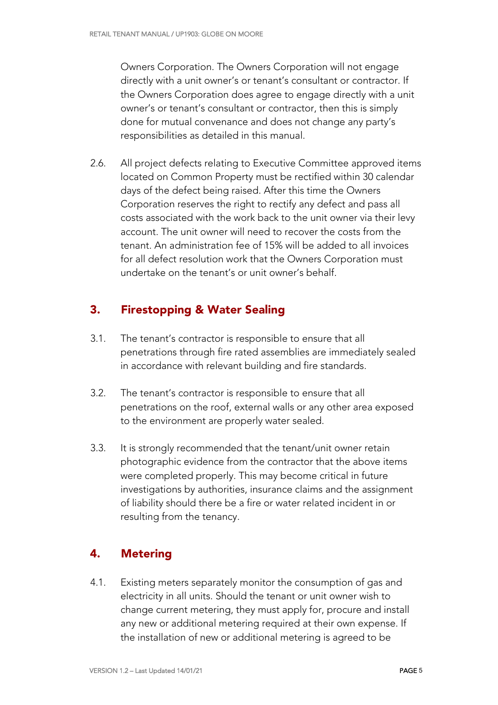Owners Corporation. The Owners Corporation will not engage directly with a unit owner's or tenant's consultant or contractor. If the Owners Corporation does agree to engage directly with a unit owner's or tenant's consultant or contractor, then this is simply done for mutual convenance and does not change any party's responsibilities as detailed in this manual.

2.6. All project defects relating to Executive Committee approved items located on Common Property must be rectified within 30 calendar days of the defect being raised. After this time the Owners Corporation reserves the right to rectify any defect and pass all costs associated with the work back to the unit owner via their levy account. The unit owner will need to recover the costs from the tenant. An administration fee of 15% will be added to all invoices for all defect resolution work that the Owners Corporation must undertake on the tenant's or unit owner's behalf.

#### 3. Firestopping & Water Sealing

- 3.1. The tenant's contractor is responsible to ensure that all penetrations through fire rated assemblies are immediately sealed in accordance with relevant building and fire standards.
- 3.2. The tenant's contractor is responsible to ensure that all penetrations on the roof, external walls or any other area exposed to the environment are properly water sealed.
- 3.3. It is strongly recommended that the tenant/unit owner retain photographic evidence from the contractor that the above items were completed properly. This may become critical in future investigations by authorities, insurance claims and the assignment of liability should there be a fire or water related incident in or resulting from the tenancy.

#### 4. Metering

4.1. Existing meters separately monitor the consumption of gas and electricity in all units. Should the tenant or unit owner wish to change current metering, they must apply for, procure and install any new or additional metering required at their own expense. If the installation of new or additional metering is agreed to be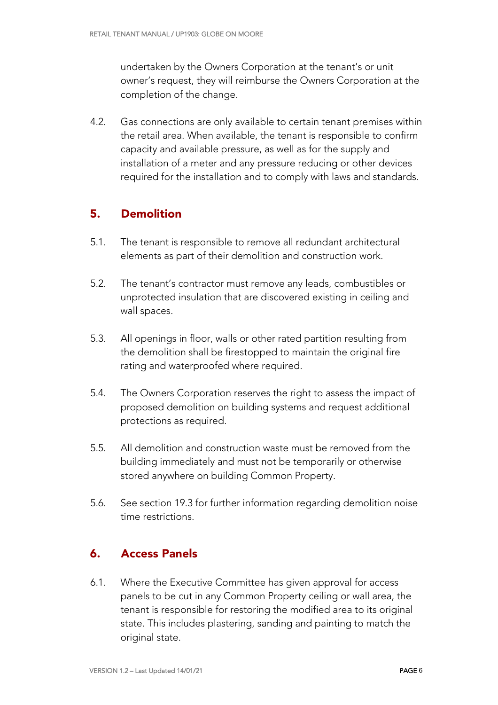undertaken by the Owners Corporation at the tenant's or unit owner's request, they will reimburse the Owners Corporation at the completion of the change.

4.2. Gas connections are only available to certain tenant premises within the retail area. When available, the tenant is responsible to confirm capacity and available pressure, as well as for the supply and installation of a meter and any pressure reducing or other devices required for the installation and to comply with laws and standards.

#### 5. Demolition

- 5.1. The tenant is responsible to remove all redundant architectural elements as part of their demolition and construction work.
- 5.2. The tenant's contractor must remove any leads, combustibles or unprotected insulation that are discovered existing in ceiling and wall spaces.
- 5.3. All openings in floor, walls or other rated partition resulting from the demolition shall be firestopped to maintain the original fire rating and waterproofed where required.
- 5.4. The Owners Corporation reserves the right to assess the impact of proposed demolition on building systems and request additional protections as required.
- 5.5. All demolition and construction waste must be removed from the building immediately and must not be temporarily or otherwise stored anywhere on building Common Property.
- 5.6. See section 19.3 for further information regarding demolition noise time restrictions.

#### 6. Access Panels

6.1. Where the Executive Committee has given approval for access panels to be cut in any Common Property ceiling or wall area, the tenant is responsible for restoring the modified area to its original state. This includes plastering, sanding and painting to match the original state.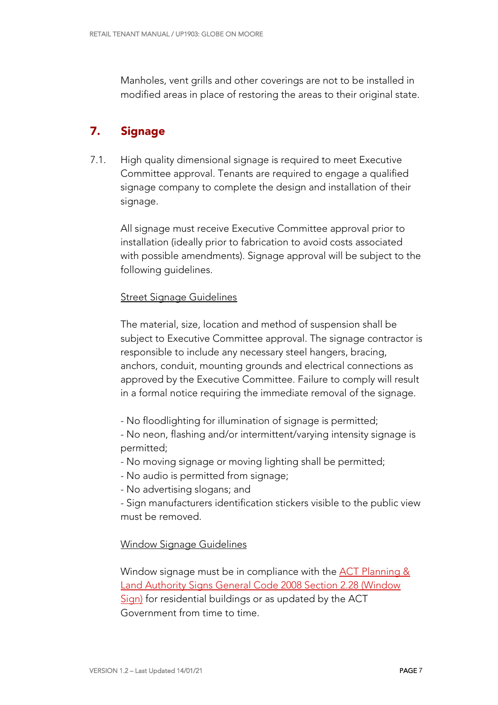Manholes, vent grills and other coverings are not to be installed in modified areas in place of restoring the areas to their original state.

#### 7. Signage

7.1. High quality dimensional signage is required to meet Executive Committee approval. Tenants are required to engage a qualified signage company to complete the design and installation of their signage.

All signage must receive Executive Committee approval prior to installation (ideally prior to fabrication to avoid costs associated with possible amendments). Signage approval will be subject to the following guidelines.

#### Street Signage Guidelines

The material, size, location and method of suspension shall be subject to Executive Committee approval. The signage contractor is responsible to include any necessary steel hangers, bracing, anchors, conduit, mounting grounds and electrical connections as approved by the Executive Committee. Failure to comply will result in a formal notice requiring the immediate removal of the signage.

- No floodlighting for illumination of signage is permitted;
- No neon, flashing and/or intermittent/varying intensity signage is permitted;
- No moving signage or moving lighting shall be permitted;
- No audio is permitted from signage;
- No advertising slogans; and
- Sign manufacturers identification stickers visible to the public view must be removed.

#### Window Signage Guidelines

Window signage must be in compliance with the ACT Planning & Land Authority Signs General Code 2008 Section 2.28 (Window Sign) for residential buildings or as updated by the ACT Government from time to time.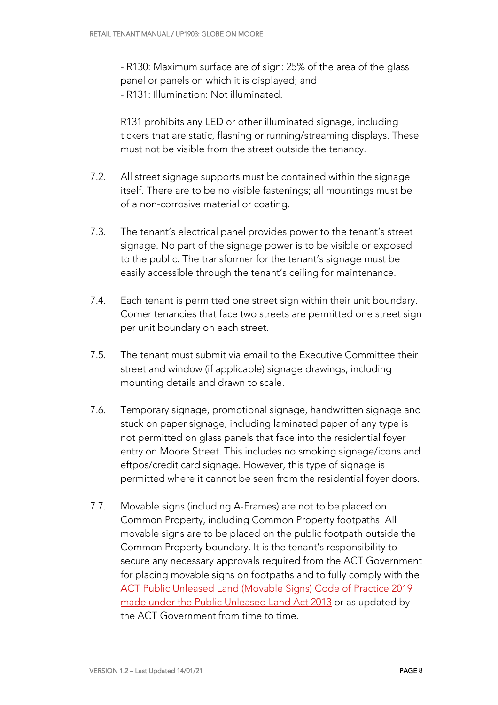- R130: Maximum surface are of sign: 25% of the area of the glass panel or panels on which it is displayed; and - R131: Illumination: Not illuminated.

R131 prohibits any LED or other illuminated signage, including tickers that are static, flashing or running/streaming displays. These must not be visible from the street outside the tenancy.

- 7.2. All street signage supports must be contained within the signage itself. There are to be no visible fastenings; all mountings must be of a non-corrosive material or coating.
- 7.3. The tenant's electrical panel provides power to the tenant's street signage. No part of the signage power is to be visible or exposed to the public. The transformer for the tenant's signage must be easily accessible through the tenant's ceiling for maintenance.
- 7.4. Each tenant is permitted one street sign within their unit boundary. Corner tenancies that face two streets are permitted one street sign per unit boundary on each street.
- 7.5. The tenant must submit via email to the Executive Committee their street and window (if applicable) signage drawings, including mounting details and drawn to scale.
- 7.6. Temporary signage, promotional signage, handwritten signage and stuck on paper signage, including laminated paper of any type is not permitted on glass panels that face into the residential foyer entry on Moore Street. This includes no smoking signage/icons and eftpos/credit card signage. However, this type of signage is permitted where it cannot be seen from the residential foyer doors.
- 7.7. Movable signs (including A-Frames) are not to be placed on Common Property, including Common Property footpaths. All movable signs are to be placed on the public footpath outside the Common Property boundary. It is the tenant's responsibility to secure any necessary approvals required from the ACT Government for placing movable signs on footpaths and to fully comply with the ACT Public Unleased Land (Movable Signs) Code of Practice 2019 made under the Public Unleased Land Act 2013 or as updated by the ACT Government from time to time.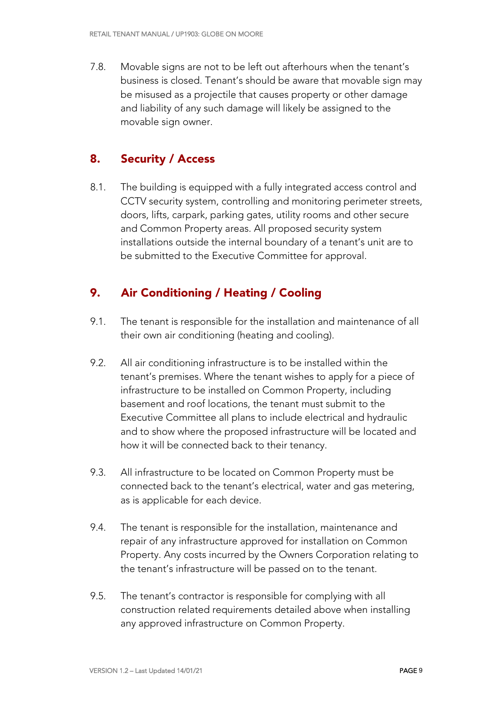7.8. Movable signs are not to be left out afterhours when the tenant's business is closed. Tenant's should be aware that movable sign may be misused as a projectile that causes property or other damage and liability of any such damage will likely be assigned to the movable sign owner.

#### 8. Security / Access

8.1. The building is equipped with a fully integrated access control and CCTV security system, controlling and monitoring perimeter streets, doors, lifts, carpark, parking gates, utility rooms and other secure and Common Property areas. All proposed security system installations outside the internal boundary of a tenant's unit are to be submitted to the Executive Committee for approval.

#### 9. Air Conditioning / Heating / Cooling

- 9.1. The tenant is responsible for the installation and maintenance of all their own air conditioning (heating and cooling).
- 9.2. All air conditioning infrastructure is to be installed within the tenant's premises. Where the tenant wishes to apply for a piece of infrastructure to be installed on Common Property, including basement and roof locations, the tenant must submit to the Executive Committee all plans to include electrical and hydraulic and to show where the proposed infrastructure will be located and how it will be connected back to their tenancy.
- 9.3. All infrastructure to be located on Common Property must be connected back to the tenant's electrical, water and gas metering, as is applicable for each device.
- 9.4. The tenant is responsible for the installation, maintenance and repair of any infrastructure approved for installation on Common Property. Any costs incurred by the Owners Corporation relating to the tenant's infrastructure will be passed on to the tenant.
- 9.5. The tenant's contractor is responsible for complying with all construction related requirements detailed above when installing any approved infrastructure on Common Property.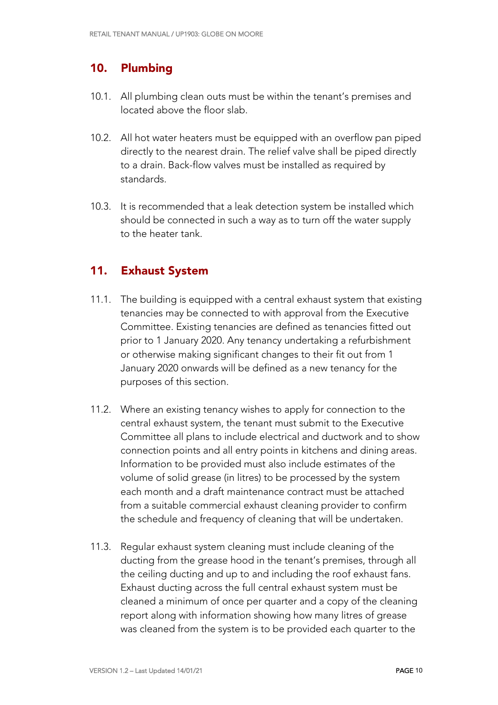#### 10. Plumbing

- 10.1. All plumbing clean outs must be within the tenant's premises and located above the floor slab.
- 10.2. All hot water heaters must be equipped with an overflow pan piped directly to the nearest drain. The relief valve shall be piped directly to a drain. Back-flow valves must be installed as required by standards.
- 10.3. It is recommended that a leak detection system be installed which should be connected in such a way as to turn off the water supply to the heater tank.

#### 11. Exhaust System

- 11.1. The building is equipped with a central exhaust system that existing tenancies may be connected to with approval from the Executive Committee. Existing tenancies are defined as tenancies fitted out prior to 1 January 2020. Any tenancy undertaking a refurbishment or otherwise making significant changes to their fit out from 1 January 2020 onwards will be defined as a new tenancy for the purposes of this section.
- 11.2. Where an existing tenancy wishes to apply for connection to the central exhaust system, the tenant must submit to the Executive Committee all plans to include electrical and ductwork and to show connection points and all entry points in kitchens and dining areas. Information to be provided must also include estimates of the volume of solid grease (in litres) to be processed by the system each month and a draft maintenance contract must be attached from a suitable commercial exhaust cleaning provider to confirm the schedule and frequency of cleaning that will be undertaken.
- 11.3. Regular exhaust system cleaning must include cleaning of the ducting from the grease hood in the tenant's premises, through all the ceiling ducting and up to and including the roof exhaust fans. Exhaust ducting across the full central exhaust system must be cleaned a minimum of once per quarter and a copy of the cleaning report along with information showing how many litres of grease was cleaned from the system is to be provided each quarter to the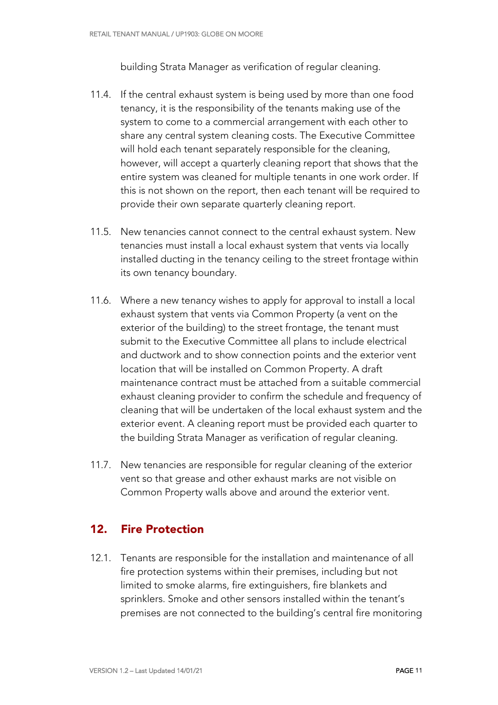building Strata Manager as verification of regular cleaning.

- 11.4. If the central exhaust system is being used by more than one food tenancy, it is the responsibility of the tenants making use of the system to come to a commercial arrangement with each other to share any central system cleaning costs. The Executive Committee will hold each tenant separately responsible for the cleaning, however, will accept a quarterly cleaning report that shows that the entire system was cleaned for multiple tenants in one work order. If this is not shown on the report, then each tenant will be required to provide their own separate quarterly cleaning report.
- 11.5. New tenancies cannot connect to the central exhaust system. New tenancies must install a local exhaust system that vents via locally installed ducting in the tenancy ceiling to the street frontage within its own tenancy boundary.
- 11.6. Where a new tenancy wishes to apply for approval to install a local exhaust system that vents via Common Property (a vent on the exterior of the building) to the street frontage, the tenant must submit to the Executive Committee all plans to include electrical and ductwork and to show connection points and the exterior vent location that will be installed on Common Property. A draft maintenance contract must be attached from a suitable commercial exhaust cleaning provider to confirm the schedule and frequency of cleaning that will be undertaken of the local exhaust system and the exterior event. A cleaning report must be provided each quarter to the building Strata Manager as verification of regular cleaning.
- 11.7. New tenancies are responsible for regular cleaning of the exterior vent so that grease and other exhaust marks are not visible on Common Property walls above and around the exterior vent.

#### 12. Fire Protection

12.1. Tenants are responsible for the installation and maintenance of all fire protection systems within their premises, including but not limited to smoke alarms, fire extinguishers, fire blankets and sprinklers. Smoke and other sensors installed within the tenant's premises are not connected to the building's central fire monitoring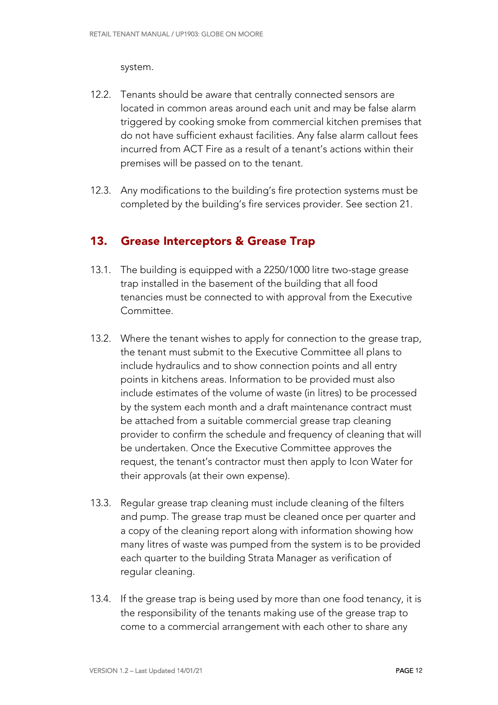system.

- 12.2. Tenants should be aware that centrally connected sensors are located in common areas around each unit and may be false alarm triggered by cooking smoke from commercial kitchen premises that do not have sufficient exhaust facilities. Any false alarm callout fees incurred from ACT Fire as a result of a tenant's actions within their premises will be passed on to the tenant.
- 12.3. Any modifications to the building's fire protection systems must be completed by the building's fire services provider. See section 21.

#### 13. Grease Interceptors & Grease Trap

- 13.1. The building is equipped with a 2250/1000 litre two-stage grease trap installed in the basement of the building that all food tenancies must be connected to with approval from the Executive Committee.
- 13.2. Where the tenant wishes to apply for connection to the grease trap, the tenant must submit to the Executive Committee all plans to include hydraulics and to show connection points and all entry points in kitchens areas. Information to be provided must also include estimates of the volume of waste (in litres) to be processed by the system each month and a draft maintenance contract must be attached from a suitable commercial grease trap cleaning provider to confirm the schedule and frequency of cleaning that will be undertaken. Once the Executive Committee approves the request, the tenant's contractor must then apply to Icon Water for their approvals (at their own expense).
- 13.3. Regular grease trap cleaning must include cleaning of the filters and pump. The grease trap must be cleaned once per quarter and a copy of the cleaning report along with information showing how many litres of waste was pumped from the system is to be provided each quarter to the building Strata Manager as verification of regular cleaning.
- 13.4. If the grease trap is being used by more than one food tenancy, it is the responsibility of the tenants making use of the grease trap to come to a commercial arrangement with each other to share any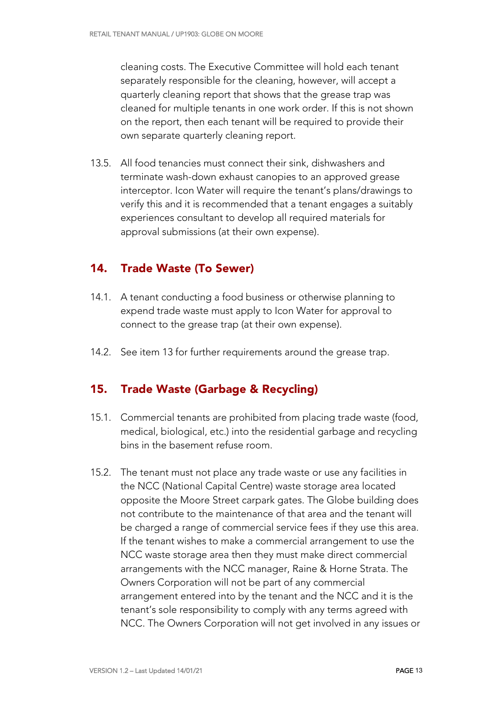cleaning costs. The Executive Committee will hold each tenant separately responsible for the cleaning, however, will accept a quarterly cleaning report that shows that the grease trap was cleaned for multiple tenants in one work order. If this is not shown on the report, then each tenant will be required to provide their own separate quarterly cleaning report.

13.5. All food tenancies must connect their sink, dishwashers and terminate wash-down exhaust canopies to an approved grease interceptor. Icon Water will require the tenant's plans/drawings to verify this and it is recommended that a tenant engages a suitably experiences consultant to develop all required materials for approval submissions (at their own expense).

#### 14. Trade Waste (To Sewer)

- 14.1. A tenant conducting a food business or otherwise planning to expend trade waste must apply to Icon Water for approval to connect to the grease trap (at their own expense).
- 14.2. See item 13 for further requirements around the grease trap.

#### 15. Trade Waste (Garbage & Recycling)

- 15.1. Commercial tenants are prohibited from placing trade waste (food, medical, biological, etc.) into the residential garbage and recycling bins in the basement refuse room.
- 15.2. The tenant must not place any trade waste or use any facilities in the NCC (National Capital Centre) waste storage area located opposite the Moore Street carpark gates. The Globe building does not contribute to the maintenance of that area and the tenant will be charged a range of commercial service fees if they use this area. If the tenant wishes to make a commercial arrangement to use the NCC waste storage area then they must make direct commercial arrangements with the NCC manager, Raine & Horne Strata. The Owners Corporation will not be part of any commercial arrangement entered into by the tenant and the NCC and it is the tenant's sole responsibility to comply with any terms agreed with NCC. The Owners Corporation will not get involved in any issues or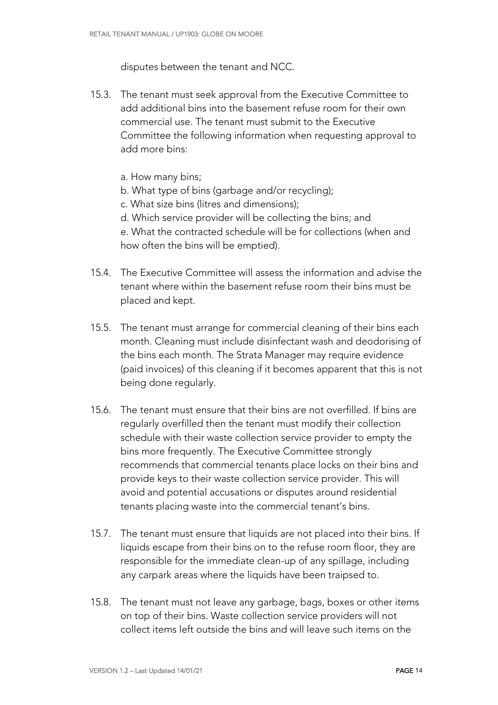disputes between the tenant and NCC.

- 15.3. The tenant must seek approval from the Executive Committee to add additional bins into the basement refuse room for their own commercial use. The tenant must submit to the Executive Committee the following information when requesting approval to add more bins:
	- a. How many bins;
	- b. What type of bins (garbage and/or recycling);
	- c. What size bins (litres and dimensions);
	- d. Which service provider will be collecting the bins; and

e. What the contracted schedule will be for collections (when and how often the bins will be emptied).

- 15.4. The Executive Committee will assess the information and advise the tenant where within the basement refuse room their bins must be placed and kept.
- 15.5. The tenant must arrange for commercial cleaning of their bins each month. Cleaning must include disinfectant wash and deodorising of the bins each month. The Strata Manager may require evidence (paid invoices) of this cleaning if it becomes apparent that this is not being done regularly.
- 15.6. The tenant must ensure that their bins are not overfilled. If bins are regularly overfilled then the tenant must modify their collection schedule with their waste collection service provider to empty the bins more frequently. The Executive Committee strongly recommends that commercial tenants place locks on their bins and provide keys to their waste collection service provider. This will avoid and potential accusations or disputes around residential tenants placing waste into the commercial tenant's bins.
- 15.7. The tenant must ensure that liquids are not placed into their bins. If liquids escape from their bins on to the refuse room floor, they are responsible for the immediate clean-up of any spillage, including any carpark areas where the liquids have been traipsed to.
- 15.8. The tenant must not leave any garbage, bags, boxes or other items on top of their bins. Waste collection service providers will not collect items left outside the bins and will leave such items on the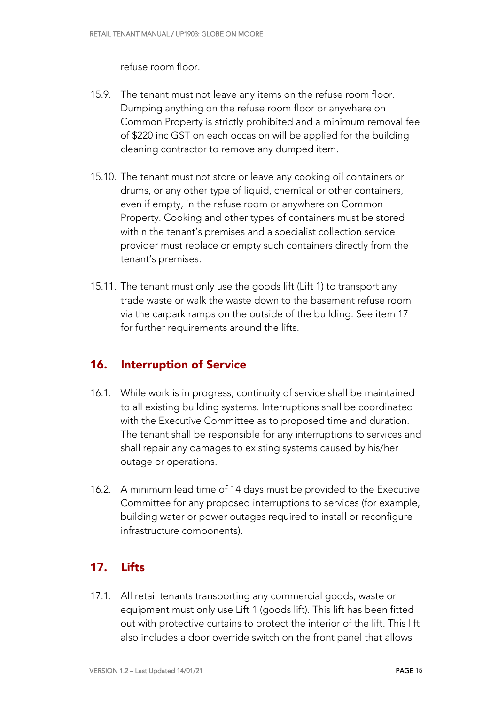refuse room floor.

- 15.9. The tenant must not leave any items on the refuse room floor. Dumping anything on the refuse room floor or anywhere on Common Property is strictly prohibited and a minimum removal fee of \$220 inc GST on each occasion will be applied for the building cleaning contractor to remove any dumped item.
- 15.10. The tenant must not store or leave any cooking oil containers or drums, or any other type of liquid, chemical or other containers, even if empty, in the refuse room or anywhere on Common Property. Cooking and other types of containers must be stored within the tenant's premises and a specialist collection service provider must replace or empty such containers directly from the tenant's premises.
- 15.11. The tenant must only use the goods lift (Lift 1) to transport any trade waste or walk the waste down to the basement refuse room via the carpark ramps on the outside of the building. See item 17 for further requirements around the lifts.

#### 16. Interruption of Service

- 16.1. While work is in progress, continuity of service shall be maintained to all existing building systems. Interruptions shall be coordinated with the Executive Committee as to proposed time and duration. The tenant shall be responsible for any interruptions to services and shall repair any damages to existing systems caused by his/her outage or operations.
- 16.2. A minimum lead time of 14 days must be provided to the Executive Committee for any proposed interruptions to services (for example, building water or power outages required to install or reconfigure infrastructure components).

#### 17. Lifts

17.1. All retail tenants transporting any commercial goods, waste or equipment must only use Lift 1 (goods lift). This lift has been fitted out with protective curtains to protect the interior of the lift. This lift also includes a door override switch on the front panel that allows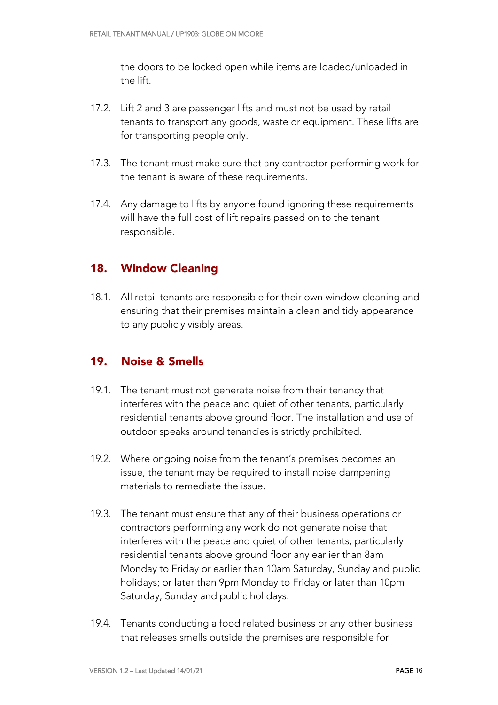the doors to be locked open while items are loaded/unloaded in the lift.

- 17.2. Lift 2 and 3 are passenger lifts and must not be used by retail tenants to transport any goods, waste or equipment. These lifts are for transporting people only.
- 17.3. The tenant must make sure that any contractor performing work for the tenant is aware of these requirements.
- 17.4. Any damage to lifts by anyone found ignoring these requirements will have the full cost of lift repairs passed on to the tenant responsible.

#### 18. Window Cleaning

18.1. All retail tenants are responsible for their own window cleaning and ensuring that their premises maintain a clean and tidy appearance to any publicly visibly areas.

#### 19. Noise & Smells

- 19.1. The tenant must not generate noise from their tenancy that interferes with the peace and quiet of other tenants, particularly residential tenants above ground floor. The installation and use of outdoor speaks around tenancies is strictly prohibited.
- 19.2. Where ongoing noise from the tenant's premises becomes an issue, the tenant may be required to install noise dampening materials to remediate the issue.
- 19.3. The tenant must ensure that any of their business operations or contractors performing any work do not generate noise that interferes with the peace and quiet of other tenants, particularly residential tenants above ground floor any earlier than 8am Monday to Friday or earlier than 10am Saturday, Sunday and public holidays; or later than 9pm Monday to Friday or later than 10pm Saturday, Sunday and public holidays.
- 19.4. Tenants conducting a food related business or any other business that releases smells outside the premises are responsible for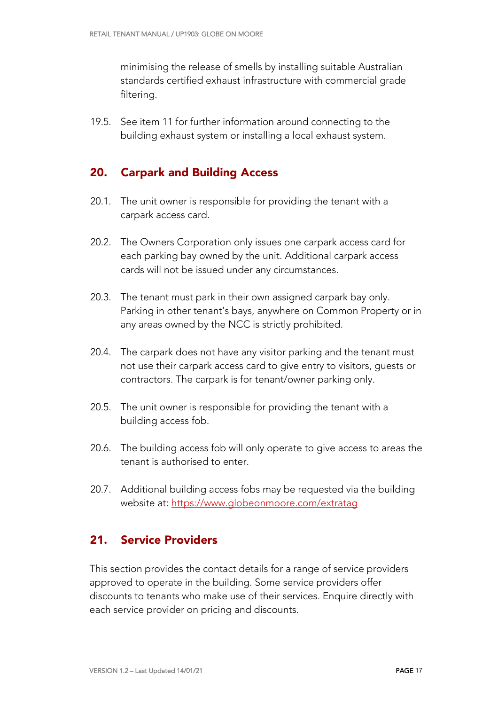minimising the release of smells by installing suitable Australian standards certified exhaust infrastructure with commercial grade filtering.

19.5. See item 11 for further information around connecting to the building exhaust system or installing a local exhaust system.

#### 20. Carpark and Building Access

- 20.1. The unit owner is responsible for providing the tenant with a carpark access card.
- 20.2. The Owners Corporation only issues one carpark access card for each parking bay owned by the unit. Additional carpark access cards will not be issued under any circumstances.
- 20.3. The tenant must park in their own assigned carpark bay only. Parking in other tenant's bays, anywhere on Common Property or in any areas owned by the NCC is strictly prohibited.
- 20.4. The carpark does not have any visitor parking and the tenant must not use their carpark access card to give entry to visitors, guests or contractors. The carpark is for tenant/owner parking only.
- 20.5. The unit owner is responsible for providing the tenant with a building access fob.
- 20.6. The building access fob will only operate to give access to areas the tenant is authorised to enter.
- 20.7. Additional building access fobs may be requested via the building website at: https://www.globeonmoore.com/extratag

#### 21. Service Providers

This section provides the contact details for a range of service providers approved to operate in the building. Some service providers offer discounts to tenants who make use of their services. Enquire directly with each service provider on pricing and discounts.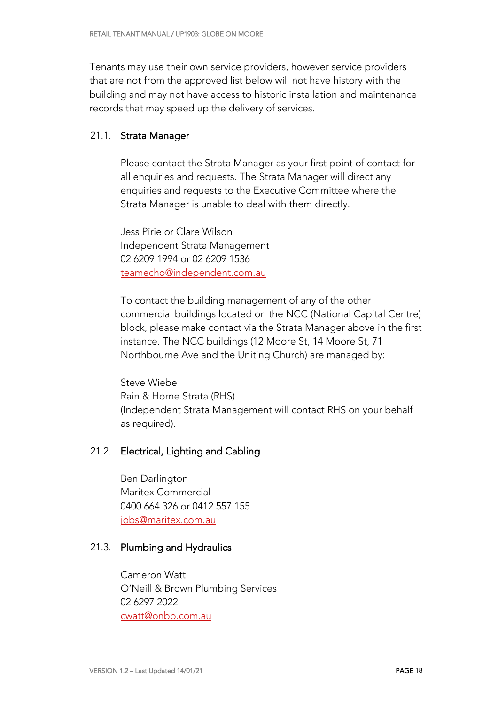Tenants may use their own service providers, however service providers that are not from the approved list below will not have history with the building and may not have access to historic installation and maintenance records that may speed up the delivery of services.

#### 21.1. Strata Manager

Please contact the Strata Manager as your first point of contact for all enquiries and requests. The Strata Manager will direct any enquiries and requests to the Executive Committee where the Strata Manager is unable to deal with them directly.

Jess Pirie or Clare Wilson Independent Strata Management 02 6209 1994 or 02 6209 1536 teamecho@independent.com.au

To contact the building management of any of the other commercial buildings located on the NCC (National Capital Centre) block, please make contact via the Strata Manager above in the first instance. The NCC buildings (12 Moore St, 14 Moore St, 71 Northbourne Ave and the Uniting Church) are managed by:

Steve Wiebe Rain & Horne Strata (RHS) (Independent Strata Management will contact RHS on your behalf as required).

#### 21.2. Electrical, Lighting and Cabling

Ben Darlington Maritex Commercial 0400 664 326 or 0412 557 155 jobs@maritex.com.au

#### 21.3. Plumbing and Hydraulics

Cameron Watt O'Neill & Brown Plumbing Services 02 6297 2022 cwatt@onbp.com.au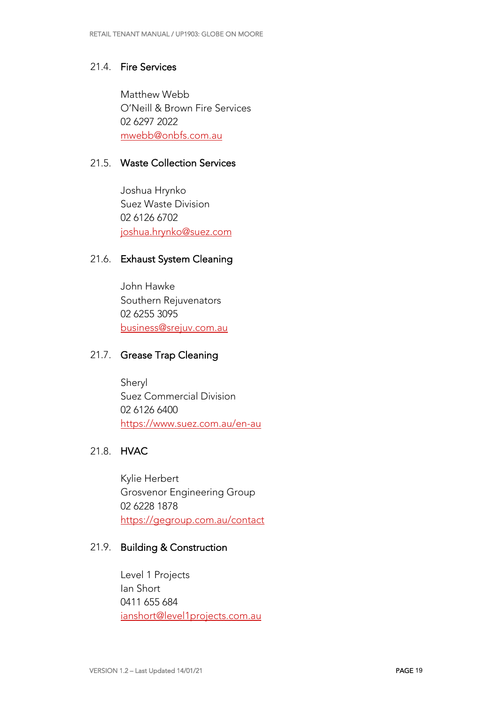#### 21.4. Fire Services

Matthew Webb O'Neill & Brown Fire Services 02 6297 2022 mwebb@onbfs.com.au

#### 21.5. Waste Collection Services

Joshua Hrynko Suez Waste Division 02 6126 6702 joshua.hrynko@suez.com

#### 21.6. Exhaust System Cleaning

John Hawke Southern Rejuvenators 02 6255 3095 business@srejuv.com.au

#### 21.7. Grease Trap Cleaning

Sheryl Suez Commercial Division 02 6126 6400 https://www.suez.com.au/en-au

#### 21.8. HVAC

Kylie Herbert Grosvenor Engineering Group 02 6228 1878 https://gegroup.com.au/contact

#### 21.9. Building & Construction

Level 1 Projects Ian Short 0411 655 684 ianshort@level1projects.com.au